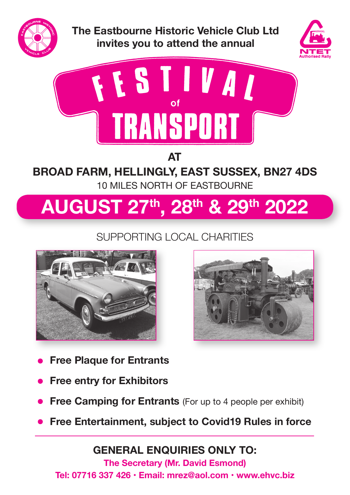

**The Eastbourne Historic Vehicle Club Ltd invites you to attend the annual**





**AT** 

### **BROAD FARM, HELLINGLY, EAST SUSSEX, BN27 4DS**  10 MILES NORTH OF EASTBOURNE

# **AUGUST 27th, 28th & 29th 2022**

## SUPPORTING LOCAL CHARITIES





- **Free Plaque for Entrants**
- **Free entry for Exhibitors**
- **Free Camping for Entrants** (For up to 4 people per exhibit)
- **Free Entertainment, subject to Covid19 Rules in force**

**GENERAL ENQUIRIES ONLY TO:**

**The Secretary (Mr. David Esmond) Tel: 07716 337 426 • Email: mrez@aol.com • www.ehvc.biz**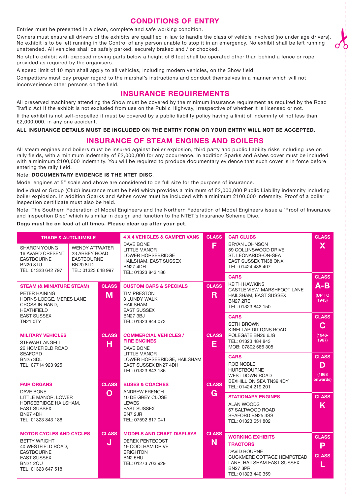### **CONDITIONS OF ENTRY**

Entries must be presented in a clean, complete and safe working condition.

Owners must ensure all drivers of the exhibits are qualified in law to handle the class of vehicle involved (no under age drivers). No exhibit is to be left running in the Control of any person unable to stop it in an emergency. No exhibit shall be left running unattended. All vehicles shall be safely parked, securely braked and / or chocked.

ot.

No static exhibit with exposed moving parts below a height of 6 feet shall be operated other than behind a fence or rope provided as required by the organisers.

A speed limit of 10 mph shall apply to all vehicles, including modern vehicles, on the Show field.

Competitors must pay proper regard to the marshal's instructions and conduct themselves in a manner which will not inconvenience other persons on the field.

### **INSURANCE REQUIREMENTS**

All preserved machinery attending the Show must be covered by the minimum insurance requirement as required by the Road Traffic Act if the exhibit is not excluded from use on the Public Highway, irrespective of whether it is licensed or not. If the exhibit is not self-propelled it must be covered by a public liability policy having a limit of indemnity of not less than £2,000,000, in any one accident.

**ALL INSURANCE DETAILS MUST BE INCLUDED ON THE ENTRY FORM OR YOUR ENTRY WILL NOT BE ACCEPTED**.

### **INSURANCE OF STEAM ENGINES AND BOILERS**

All steam engines and boilers must be insured against boiler explosion, third party and public liability risks including use on rally fields, with a minimum indemnity of £2,000,000 for any occurrence. In addition Sparks and Ashes cover must be included with a minimum £100,000 indemnity. You will be required to produce documentary evidence that such cover is in force before entering the rally field.

#### Note: **DOCUMENTARY EVIDENCE IS THE NTET DISC**.

Model engines at 5" scale and above are considered to be full size for the purpose of insurance.

Individual or Group (Club) insurance must be held which provides a minimum of £2,000,000 Public Liability indemnity including boiler explosion. In addition Sparks and Ashes cover must be included with a minimum £100,000 indemnity. Proof of a boiler inspection certificate must also be held.

Note: The Southern Federation of Model Engineers and the Northern Federation of Model Engineers issue a 'Proof of Insurance and Inspection Disc' which is similar in design and function to the NTET's Insurance Scheme Disc.

#### **Dogs must be on lead at all times. Please clear up after your pet**.

| <b>TRADE &amp; AUTOJUMBLE</b>                                                                                                                                                        |                                                                                                      |                                                                                                                                                | <b>4 X 4 VEHICLES &amp; CAMPER VANS</b><br><b>CLASS</b>                                                                                                          |                                                                                                                                                                               | <b>CAR CLUBS</b>                                                                                                                                    | <b>CLASS</b>                                                     |
|--------------------------------------------------------------------------------------------------------------------------------------------------------------------------------------|------------------------------------------------------------------------------------------------------|------------------------------------------------------------------------------------------------------------------------------------------------|------------------------------------------------------------------------------------------------------------------------------------------------------------------|-------------------------------------------------------------------------------------------------------------------------------------------------------------------------------|-----------------------------------------------------------------------------------------------------------------------------------------------------|------------------------------------------------------------------|
| <b>SHARON YOUNG</b><br><b>16 AVARD CRESENT</b><br><b>EASTBOURNE</b><br><b>BN20 8TU</b><br>TEL: 01323 642 797                                                                         | <b>WENDY ATTWATER</b><br>23 ABBEY ROAD<br><b>EASTBOURNE</b><br><b>BN20 8TD</b><br>TEL: 01323 648 997 |                                                                                                                                                | DAVE BONE<br><b>LITTLE MANOR</b><br><b>LOWER HORSEBRIDGE</b><br>HAILSHAM, EAST SUSSEX<br><b>BN27 4DH</b><br>TEL: 01323 843 186                                   | F                                                                                                                                                                             | <b>BRYAN JOHNSON</b><br>59 COLLINSWOOD DRIVE<br>ST. LEONARDS-ON-SEA<br><b>EAST SUSSEX TN38 ONX</b><br>TEL: 01424 438 407                            | $\mathsf{X}$                                                     |
| <b>STEAM (&amp; MINIATURE STEAM)</b><br>PETER HAINING<br>M<br>HORNS LODGE, MERES LANE<br>CROSS IN HAND,<br><b>HEATHFIELD</b><br><b>EAST SUSSEX</b>                                   |                                                                                                      | <b>CLASS</b>                                                                                                                                   | <b>CUSTOM CARS &amp; SPECIALS</b><br><b>TIM PRESTON</b><br><b>3 LUNDY WALK</b><br><b>HAILSHAM</b><br><b>EAST SUSSEX</b><br><b>BN27 3BJ</b><br>TEL: 01323 844 073 | <b>CLASS</b><br>R.                                                                                                                                                            | <b>CARS</b><br><b>KEITH HAWKINS</b><br>CASTLE VIEW, MARSHFOOT LANE<br>HAILSHAM, EAST SUSSEX<br><b>BN27 2RE</b><br>TEL: 01323 842 150<br><b>CARS</b> | <b>CLASS</b><br>$A-B$<br><b>(UP TO)</b><br>1945)<br><b>CLASS</b> |
| <b>TN21 0TY</b><br><b>MILITARY VEHICLES</b><br>н<br><b>STEWART ANGELL</b><br>26 HOMEFIELD ROAD<br><b>SEAFORD</b><br><b>BN25 3DL</b>                                                  |                                                                                                      | <b>CLASS</b>                                                                                                                                   | <b>CLASS</b><br><b>COMMERCIAL VEHICLES /</b><br><b>FIRE ENGINES</b><br>E<br><b>DAVE BONE</b><br><b>LITTLE MANOR</b><br>LOWER HORSEBRIDGE, HAILSHAM               |                                                                                                                                                                               | <b>SETH BROWN</b><br>KINELLAR DITTONS ROAD<br>POLEGATE BN26 6JG<br>TEL; 01323 484 843<br>MOB: 07802 586 305<br><b>CARS</b><br><b>ROB NOBLE</b>      | C<br>$(1946 -$<br>1967)<br><b>CLASS</b>                          |
| TEL: 07714 923 925<br><b>CLASS</b><br><b>FAIR ORGANS</b><br>DAVE BONE<br>$\mathbf O$                                                                                                 |                                                                                                      | EAST SUSSEX BN27 4DH<br>TEL: 01323 843 186<br><b>BUSES &amp; COACHES</b><br><b>ANDREW FRENCH</b>                                               | <b>CLASS</b><br>G                                                                                                                                                |                                                                                                                                                                               | D<br>(1968)<br>onwards)                                                                                                                             |                                                                  |
| LITTLE MANOR, LOWER<br>HORSEBRIDGE HAILSHAM,<br><b>EAST SUSSEX</b><br><b>BN27 4DH</b><br>TEL: 01323 843 186                                                                          |                                                                                                      |                                                                                                                                                | 10 DE GREY CLOSE<br><b>LEWES</b><br><b>EAST SUSSEX</b><br>BN7 2JR<br>TEL: 07592 817 041                                                                          |                                                                                                                                                                               | <b>STATIONARY ENGINES</b><br><b>ALAN WOODS</b><br>67 SALTWOOD ROAD<br>SEAFORD BN25 3SS<br>TEL: 01323 651 802                                        | <b>CLASS</b><br>K                                                |
| <b>CLASS</b><br><b>MOTOR CYCLES AND CYCLES</b><br><b>BETTY WRIGHT</b><br>J<br>40 WESTFIELD ROAD,<br><b>EASTBOURNE</b><br><b>EAST SUSSEX</b><br><b>BN21 2QU</b><br>TEL: 01323 647 518 |                                                                                                      | <b>MODELS AND CRAFT DISPLAYS</b><br><b>DEREK PENTECOST</b><br>19 COOLHAM DRIVE<br><b>BRIGHTON</b><br>BN <sub>2</sub> 5HU<br>TEL: 01273 703 929 | <b>CLASS</b><br>N.                                                                                                                                               | <b>WORKING EXHIBITS</b><br><b>TRACTORS</b><br><b>DAVID BOURNE</b><br><b>CUCKMERE COTTAGE HEMPSTEAD</b><br>LANE, HAILSHAM EAST SUSSEX<br><b>BN27 3PR</b><br>TEL: 01323 440 359 | <b>CLASS</b><br>P<br><b>CLASS</b><br>L                                                                                                              |                                                                  |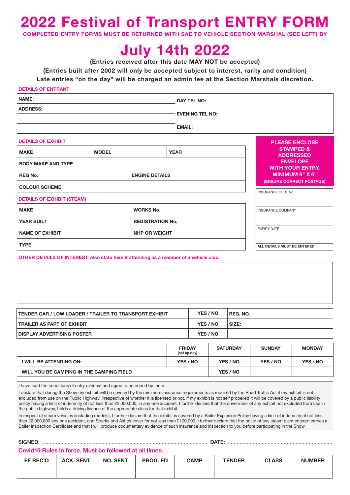# **2022 Festival of Transport ENTRY FORM**<br>COMPLETED ENTRY FORMS MUST BE RETURNED WITH SAE TO VEHICLE SECTION MARSHAL (SEE LEFT) BY

**RETURNED WITH SAE TO VEHICLE SECTION MARSHAL (SEE LEFT) BY** 

# **July 14th 2022**

**(Entries received after this date MAY NOT be accepted)** 

**(Entries built after 2002 will only be accepted subject to interest, rarity and condition)** 

**Late entries "on the day" will be charged an admin fee at the Section Marshals discretion.**

#### **DETAILS OF ENTRANT**

| NAME:           | <b>DAY TEL NO:</b>     |  |  |
|-----------------|------------------------|--|--|
| <b>ADDRESS:</b> | <b>EVENING TEL NO:</b> |  |  |
|                 |                        |  |  |
|                 | <b>EMAIL:</b>          |  |  |

**PLEASE ENCLOSE** 

**ALL DETAILS MUST BE ENTERED**

#### **DETAILS OF EXHIBIT**

| <b>MAKE</b><br><b>YEAR</b><br><b>MODEL</b><br><b>BODY MAKE AND TYPE</b> |  |                           |  |  | <b>STAMPED &amp;</b><br><b>ADDRESSED</b><br><b>ENVELOPE</b><br><b>WITH YOUR ENTRY.</b> |
|-------------------------------------------------------------------------|--|---------------------------|--|--|----------------------------------------------------------------------------------------|
| <b>REG No.</b><br><b>ENGINE DETAILS</b>                                 |  |                           |  |  | MINIMUM 9" X 6"<br>(ENSURE CORRECT POSTAGE)                                            |
| <b>COLOUR SCHEME</b>                                                    |  | <b>INSURANCE CERT No.</b> |  |  |                                                                                        |
| <b>DETAILS OF EXHIBIT (STEAM)</b>                                       |  |                           |  |  |                                                                                        |
| <b>MAKE</b><br><b>WORKS No.</b>                                         |  |                           |  |  | <b>INSURANCE COMPANY</b>                                                               |
| <b>YEAR BUILT</b><br><b>REGISTRATION No.</b>                            |  |                           |  |  |                                                                                        |
| <b>NAME OF EXHIBIT</b><br><b>NHP OR WEIGHT</b>                          |  |                           |  |  | <b>EXPIRY DATE</b>                                                                     |
|                                                                         |  |                           |  |  |                                                                                        |

**TYPE**

**OTHER DETAILS OF INTEREST. Also state here if attending as a member of a vehicle club.** 

| <b>TENDER CAR / LOW LOADER / TRAILER TO TRANSPORT EXHIBIT</b> | YES / NO | REG. NO. |
|---------------------------------------------------------------|----------|----------|
| <b>TRAILER AS PART OF EXHIBIT</b>                             | YES / NO | SIZE:    |
| <b>DISPLAY ADVERTISING POSTER</b>                             | YES / NO |          |

|                                          | <b>FRIDAY</b><br>(set up day) | <b>SATURDAY</b> | <b>SUNDAY</b> | <b>MONDAY</b> |
|------------------------------------------|-------------------------------|-----------------|---------------|---------------|
| I WILL BE ATTENDING ON:                  | YES / NO                      | YES / NO        | YES / NO      | YES / NO      |
| WILL YOU BE CAMPING IN THE CAMPING FIELD |                               | YES / NO        |               |               |

I have read the conditions of entry overleaf and agree to be bound by them.

I declare that during the Show my exhibit will be covered by the minimum insurance requirements as required by the Road Traffic Act if my exhibit is not excluded from use on the Public Highway, irrespective of whether it is licensed or not. If my exhibit is not self propelled it will be covered by a public liability policy having a limit of indemnity of not less than £2,000,000, in any one accident. I further declare that the driver/rider of any exhibit not excluded from use in the public highway, holds a driving licence of the appropriate class for that exhibit.

In respect of steam vehicles (including models), I further declare that the exhibit is covered by a Boiler Explosion Policy having a limit of indemnity of not less than £2,000,000 any one accident, and Sparks and Ashes cover for not less than £100,000. I further declare that the boiler of any steam plant entered carries a Boiler Inspection Certificate and that I will produce documentary evidence of such insurance and inspection to you before participating in the Show.

SIGNED: .................................................................................................................. DATE: ........................................................................

#### **Covid19 Rules in force. Must be followed at all times.**

| EF REC'D | <b>ACK, SENT</b> | <b>NO. SENT</b> | <b>PROG. ED</b> | <b>CAMP</b> | <b>TENDER</b> | <b>CLASS</b> | <b>NUMBER</b> |
|----------|------------------|-----------------|-----------------|-------------|---------------|--------------|---------------|
|          |                  |                 |                 |             |               |              |               |